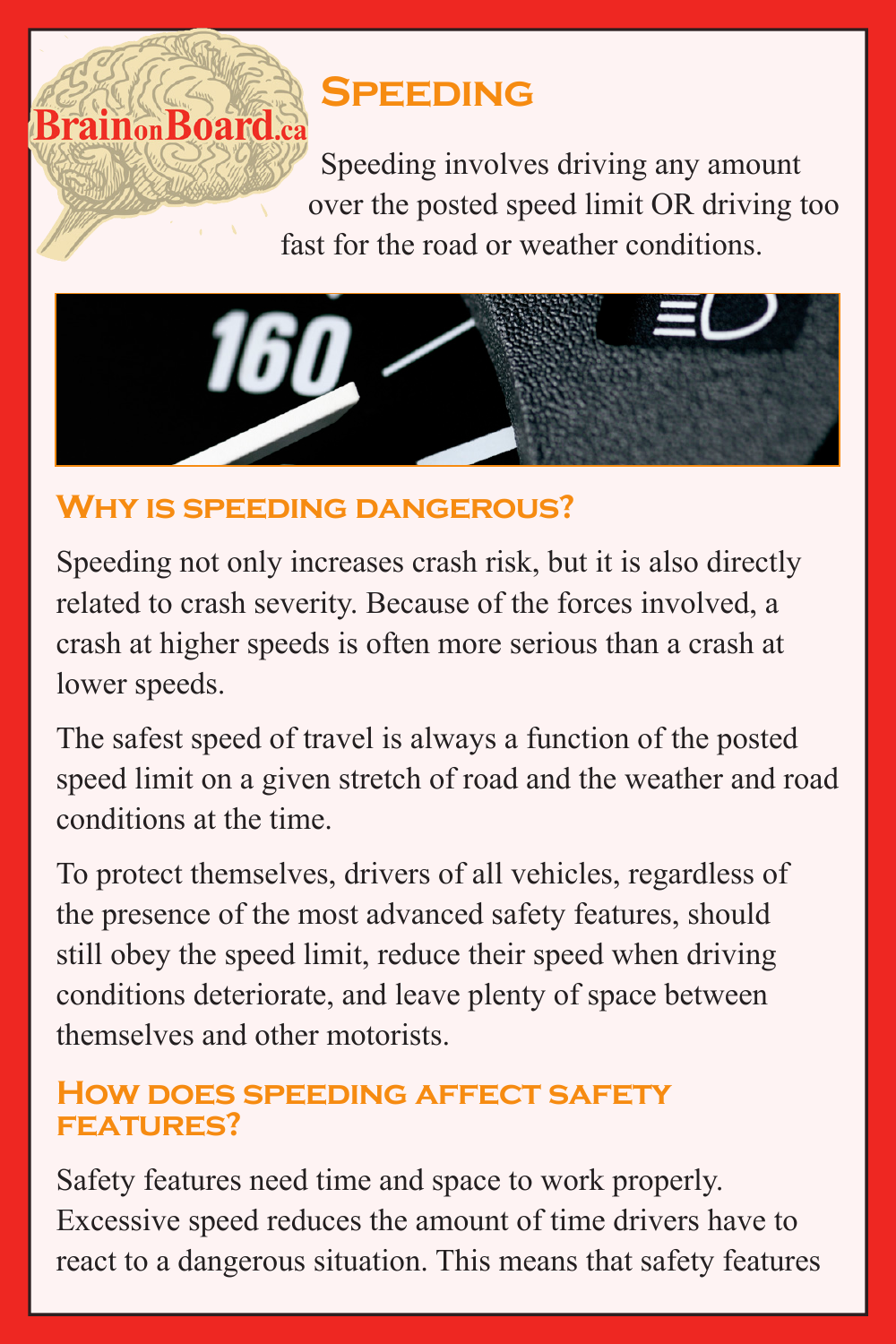## **Speeding**

Speeding involves driving any amount over the posted speed limit OR driving too fast for the road or weather conditions.



## **Why is speeding dangerous?**

**BrainonBoard.ca** 

Speeding not only increases crash risk, but it is also directly related to crash severity. Because of the forces involved, a crash at higher speeds is often more serious than a crash at lower speeds.

The safest speed of travel is always a function of the posted speed limit on a given stretch of road and the weather and road conditions at the time.

To protect themselves, drivers of all vehicles, regardless of the presence of the most advanced safety features, should still obey the speed limit, reduce their speed when driving conditions deteriorate, and leave plenty of space between themselves and other motorists.

## **How does speeding affect safety features?**

Safety features need time and space to work properly. Excessive speed reduces the amount of time drivers have to react to a dangerous situation. This means that safety features